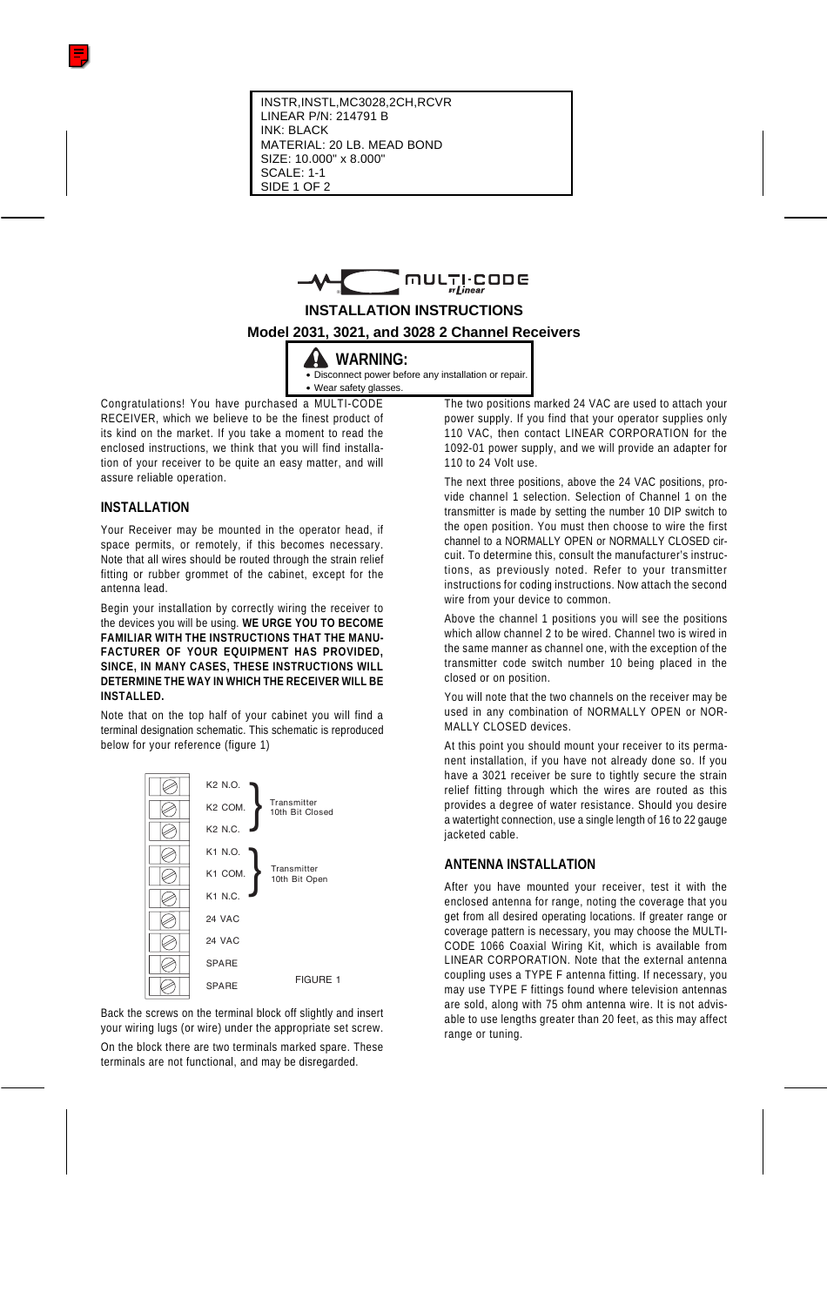

# **INSTALLATION INSTRUCTIONS**

### **Model 2031, 3021, and 3028 2 Channel Receivers**

**WARNING:**

• Disconnect power before any installation or repair. • Wear safety glasses.

Congratulations! You have purchased a MULTI-CODE RECEIVER, which we believe to be the finest product of its kind on the market. If you take a moment to read the enclosed instructions, we think that you will find installation of your receiver to be quite an easy matter, and will assure reliable operation.

### **INSTALLATION**

Your Receiver may be mounted in the operator head, if space permits, or remotely, if this becomes necessary. Note that all wires should be routed through the strain relief fitting or rubber grommet of the cabinet, except for the antenna lead.

Begin your installation by correctly wiring the receiver to the devices you will be using. **WE URGE YOU TO BECOME FAMILIAR WITH THE INSTRUCTIONS THAT THE MANU-FACTURER OF YOUR EQUIPMENT HAS PROVIDED, SINCE, IN MANY CASES, THESE INSTRUCTIONS WILL DETERMINE THE WAY IN WHICH THE RECEIVER WILL BE INSTALLED.**

Note that on the top half of your cabinet you will find a terminal designation schematic. This schematic is reproduced below for your reference (figure 1)



Back the screws on the terminal block off slightly and insert your wiring lugs (or wire) under the appropriate set screw.

On the block there are two terminals marked spare. These terminals are not functional, and may be disregarded.

The two positions marked 24 VAC are used to attach your power supply. If you find that your operator supplies only 110 VAC, then contact LINEAR CORPORATION for the 1092-01 power supply, and we will provide an adapter for 110 to 24 Volt use.

The next three positions, above the 24 VAC positions, provide channel 1 selection. Selection of Channel 1 on the transmitter is made by setting the number 10 DIP switch to the open position. You must then choose to wire the first channel to a NORMALLY OPEN or NORMALLY CLOSED circuit. To determine this, consult the manufacturer's instructions, as previously noted. Refer to your transmitter instructions for coding instructions. Now attach the second wire from your device to common.

Above the channel 1 positions you will see the positions which allow channel 2 to be wired. Channel two is wired in the same manner as channel one, with the exception of the transmitter code switch number 10 being placed in the closed or on position.

You will note that the two channels on the receiver may be used in any combination of NORMALLY OPEN or NOR-MALLY CLOSED devices

At this point you should mount your receiver to its permanent installation, if you have not already done so. If you have a 3021 receiver be sure to tightly secure the strain relief fitting through which the wires are routed as this provides a degree of water resistance. Should you desire a watertight connection, use a single length of 16 to 22 gauge jacketed cable.

# **ANTENNA INSTALLATION**

After you have mounted your receiver, test it with the enclosed antenna for range, noting the coverage that you get from all desired operating locations. If greater range or coverage pattern is necessary, you may choose the MULTI-CODE 1066 Coaxial Wiring Kit, which is available from LINEAR CORPORATION. Note that the external antenna coupling uses a TYPE F antenna fitting. If necessary, you may use TYPE F fittings found where television antennas are sold, along with 75 ohm antenna wire. It is not advisable to use lengths greater than 20 feet, as this may affect range or tuning.